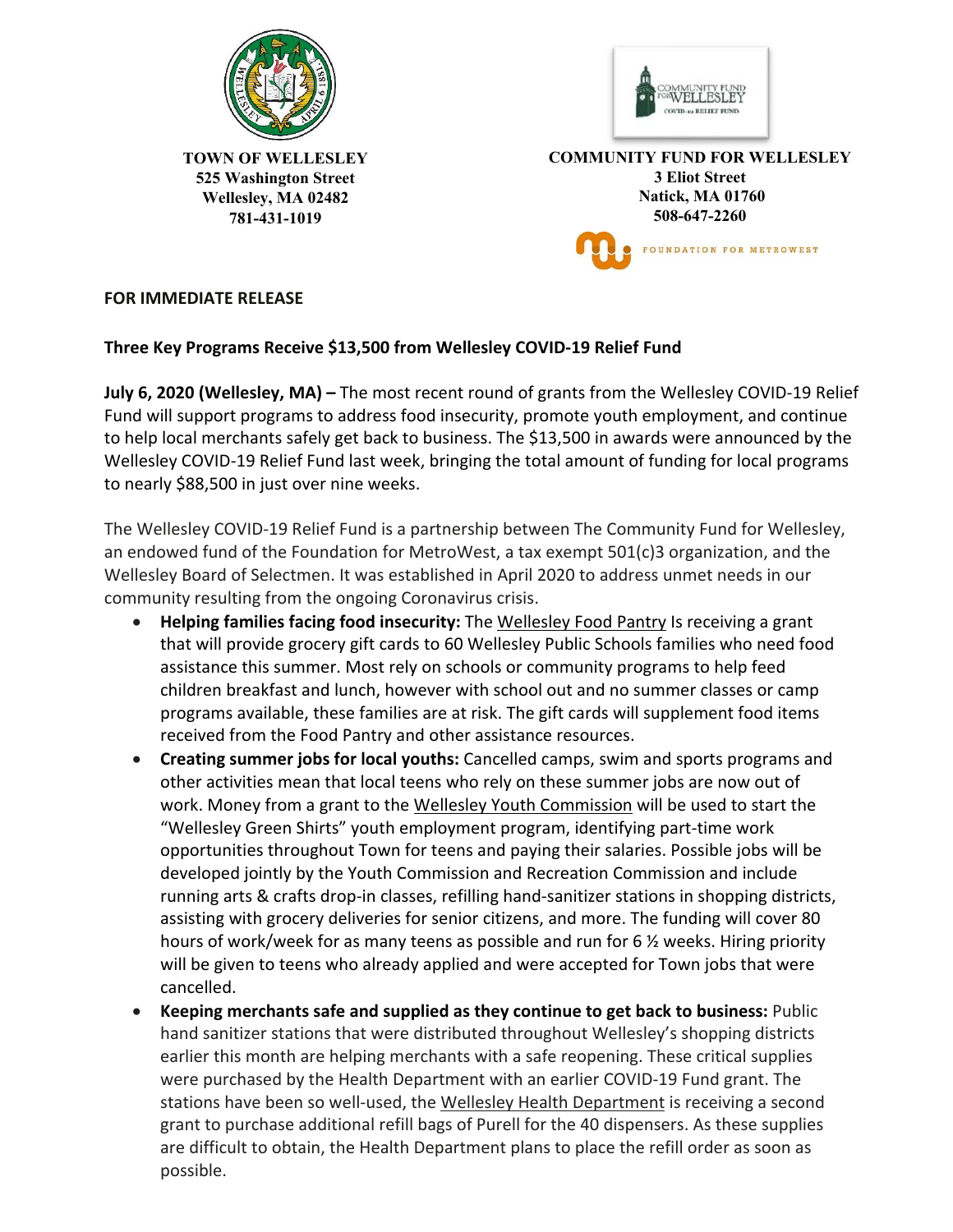



**TOWN OF WELLESLEY 525 Washington Street Wellesley, MA 02482 781-431-1019** 

**COMMUNITY FUND FOR WELLESLEY 3 Eliot Street Natick, MA 01760 508-647-2260**  FOUNDATION FOR METROWEST

## **FOR IMMEDIATE RELEASE**

## **Three Key Programs Receive \$13,500 from Wellesley COVID‐19 Relief Fund**

**July 6, 2020 (Wellesley, MA) –** The most recent round of grants from the Wellesley COVID‐19 Relief Fund will support programs to address food insecurity, promote youth employment, and continue to help local merchants safely get back to business. The \$13,500 in awards were announced by the Wellesley COVID‐19 Relief Fund last week, bringing the total amount of funding for local programs to nearly \$88,500 in just over nine weeks.

The Wellesley COVID‐19 Relief Fund is a partnership between The Community Fund for Wellesley, an endowed fund of the Foundation for MetroWest, a tax exempt 501(c)3 organization, and the Wellesley Board of Selectmen. It was established in April 2020 to address unmet needs in our community resulting from the ongoing Coronavirus crisis.

- **Helping families facing food insecurity:** The Wellesley Food Pantry Is receiving a grant that will provide grocery gift cards to 60 Wellesley Public Schools families who need food assistance this summer. Most rely on schools or community programs to help feed children breakfast and lunch, however with school out and no summer classes or camp programs available, these families are at risk. The gift cards will supplement food items received from the Food Pantry and other assistance resources.
- **Creating summer jobs for local youths:** Cancelled camps, swim and sports programs and other activities mean that local teens who rely on these summer jobs are now out of work. Money from a grant to the Wellesley Youth Commission will be used to start the "Wellesley Green Shirts" youth employment program, identifying part‐time work opportunities throughout Town for teens and paying their salaries. Possible jobs will be developed jointly by the Youth Commission and Recreation Commission and include running arts & crafts drop‐in classes, refilling hand‐sanitizer stations in shopping districts, assisting with grocery deliveries for senior citizens, and more. The funding will cover 80 hours of work/week for as many teens as possible and run for 6 ½ weeks. Hiring priority will be given to teens who already applied and were accepted for Town jobs that were cancelled.
- **Keeping merchants safe and supplied as they continue to get back to business:** Public hand sanitizer stations that were distributed throughout Wellesley's shopping districts earlier this month are helping merchants with a safe reopening. These critical supplies were purchased by the Health Department with an earlier COVID‐19 Fund grant. The stations have been so well-used, the Wellesley Health Department is receiving a second grant to purchase additional refill bags of Purell for the 40 dispensers. As these supplies are difficult to obtain, the Health Department plans to place the refill order as soon as possible.